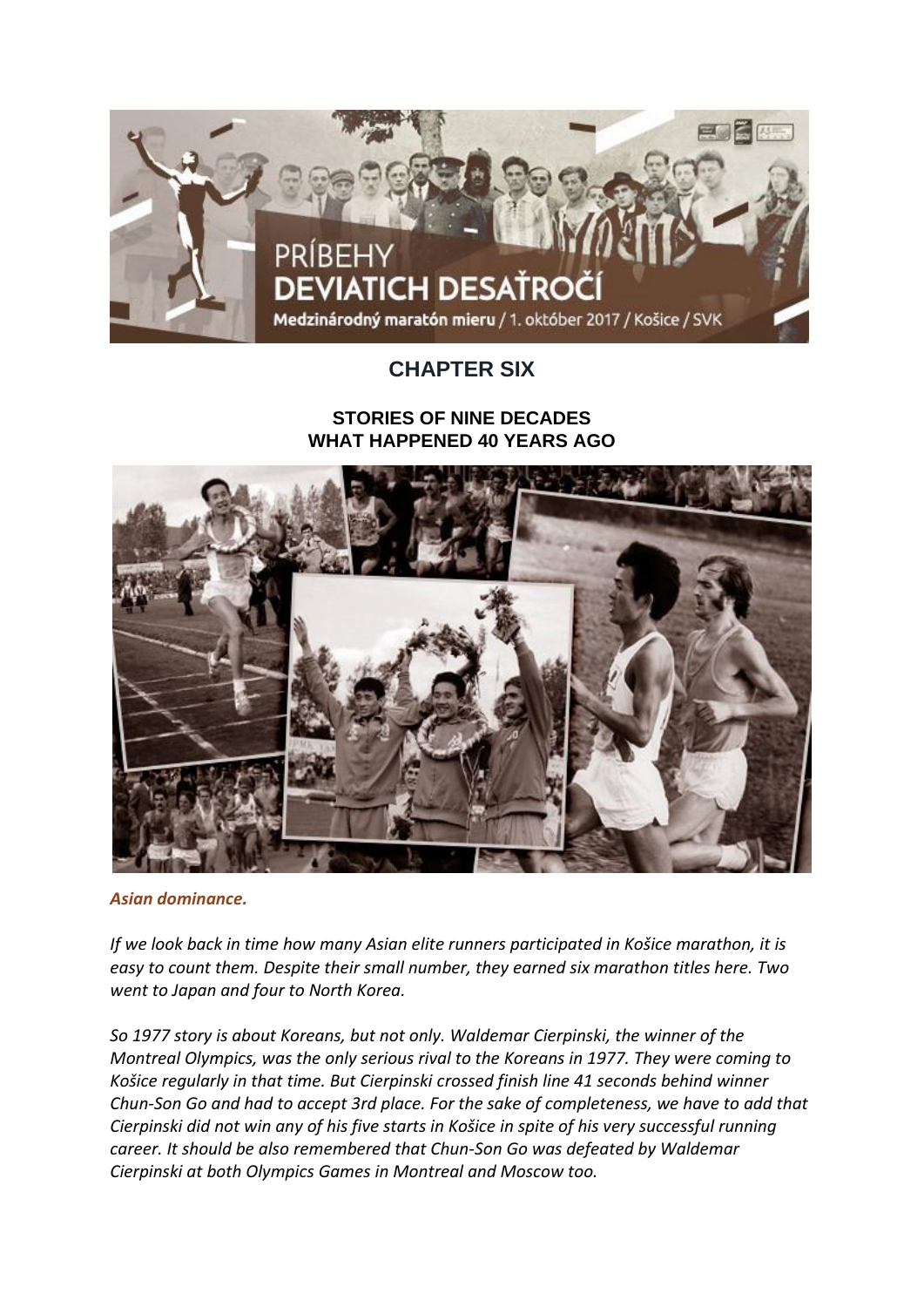

## **CHAPTER SIX**

## **STORIES OF NINE DECADES WHAT HAPPENED 40 YEARS AGO**



*Asian dominance.*

*If we look back in time how many Asian elite runners participated in Košice marathon, it is easy to count them. Despite their small number, they earned six marathon titles here. Two went to Japan and four to North Korea.*

*So 1977 story is about Koreans, but not only. Waldemar Cierpinski, the winner of the Montreal Olympics, was the only serious rival to the Koreans in 1977. They were coming to Košice regularly in that time. But Cierpinski crossed finish line 41 seconds behind winner Chun-Son Go and had to accept 3rd place. For the sake of completeness, we have to add that Cierpinski did not win any of his five starts in Košice in spite of his very successful running career. It should be also remembered that Chun-Son Go was defeated by Waldemar Cierpinski at both Olympics Games in Montreal and Moscow too.*